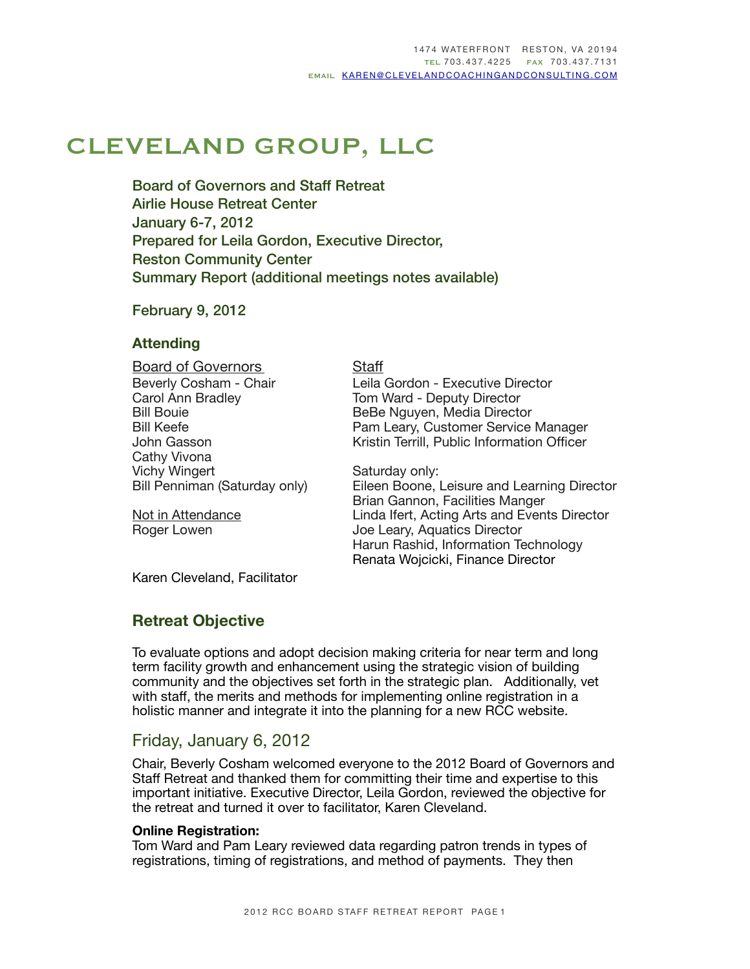# CLEVELAND GROUP, LLC

Board of Governors and Staff Retreat Airlie House Retreat Center January 6-7, 2012 Prepared for Leila Gordon, Executive Director, Reston Community Center Summary Report (additional meetings notes available)

February 9, 2012

## **Attending**

e de la construcción de la construcción  $\mathcal{L}^{\text{max}}(\mathcal{L}^{\text{max}})$ Bill Penniman (Saturday only)<br><u>Not in Attendance</u> Board of Governors Beverly Cosham - Chair Carol Ann Bradley Bill Bouie Bill Keefe John Gasson Cathy Vivona Vichy Wingert **Staff** Leila Gordon - Executive Director Tom Ward - Deputy Director BeBe Nguyen, Media Director Pam Leary, Customer Service Manager Kristin Terrill, Public Information Officer Saturday only:

Roger Lowen

Eileen Boone, Leisure and Learning Director Brian Gannon, Facilities Manger Linda Ifert, Acting Arts and Events Director Joe Leary, Aquatics Director Harun Rashid, Information Technology Renata Wojcicki, Finance Director

Karen Cleveland, Facilitator

## **Retreat Objective**

To evaluate options and adopt decision making criteria for near term and long term facility growth and enhancement using the strategic vision of building community and the objectives set forth in the strategic plan. Additionally, vet with staff, the merits and methods for implementing online registration in a holistic manner and integrate it into the planning for a new RCC website.

# Friday, January 6, 2012

Chair, Beverly Cosham welcomed everyone to the 2012 Board of Governors and Staff Retreat and thanked them for committing their time and expertise to this important initiative. Executive Director, Leila Gordon, reviewed the objective for the retreat and turned it over to facilitator, Karen Cleveland.

## **Online Registration:**

Tom Ward and Pam Leary reviewed data regarding patron trends in types of registrations, timing of registrations, and method of payments. They then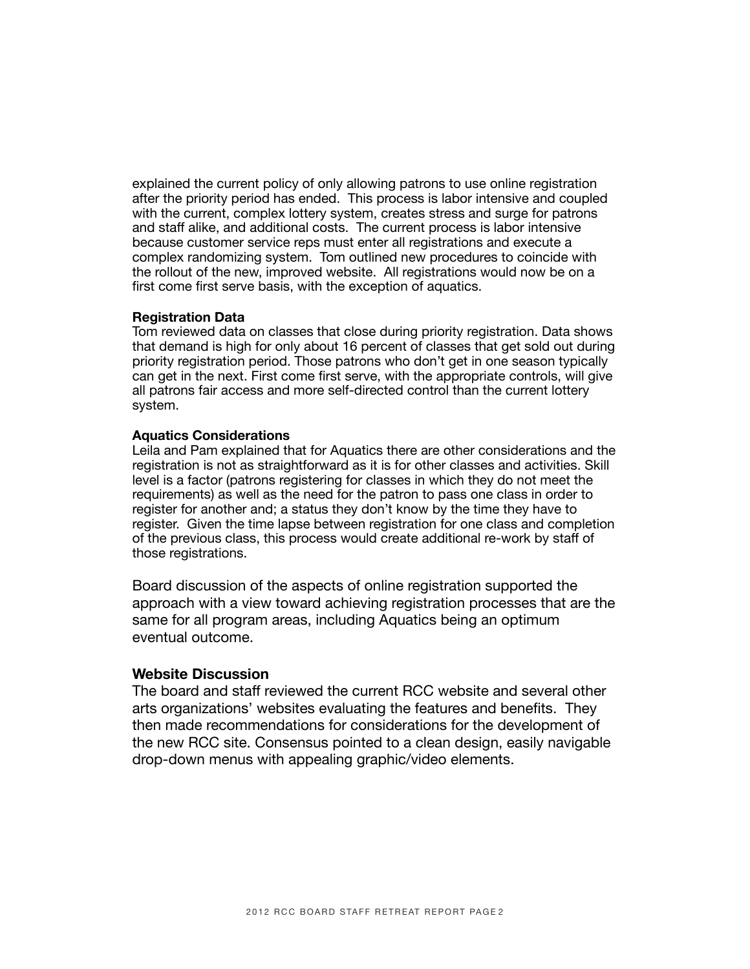explained the current policy of only allowing patrons to use online registration after the priority period has ended. This process is labor intensive and coupled with the current, complex lottery system, creates stress and surge for patrons and staff alike, and additional costs. The current process is labor intensive because customer service reps must enter all registrations and execute a complex randomizing system. Tom outlined new procedures to coincide with the rollout of the new, improved website. All registrations would now be on a first come first serve basis, with the exception of aquatics.

#### **Registration Data**

Tom reviewed data on classes that close during priority registration. Data shows that demand is high for only about 16 percent of classes that get sold out during priority registration period. Those patrons who don't get in one season typically can get in the next. First come first serve, with the appropriate controls, will give all patrons fair access and more self-directed control than the current lottery system.

#### **Aquatics Considerations**

Leila and Pam explained that for Aquatics there are other considerations and the registration is not as straightforward as it is for other classes and activities. Skill level is a factor (patrons registering for classes in which they do not meet the requirements) as well as the need for the patron to pass one class in order to register for another and; a status they don't know by the time they have to register. Given the time lapse between registration for one class and completion of the previous class, this process would create additional re-work by staff of those registrations.

Board discussion of the aspects of online registration supported the approach with a view toward achieving registration processes that are the same for all program areas, including Aquatics being an optimum eventual outcome.

## **Website Discussion**

The board and staff reviewed the current RCC website and several other arts organizations' websites evaluating the features and benefits. They then made recommendations for considerations for the development of the new RCC site. Consensus pointed to a clean design, easily navigable drop-down menus with appealing graphic/video elements.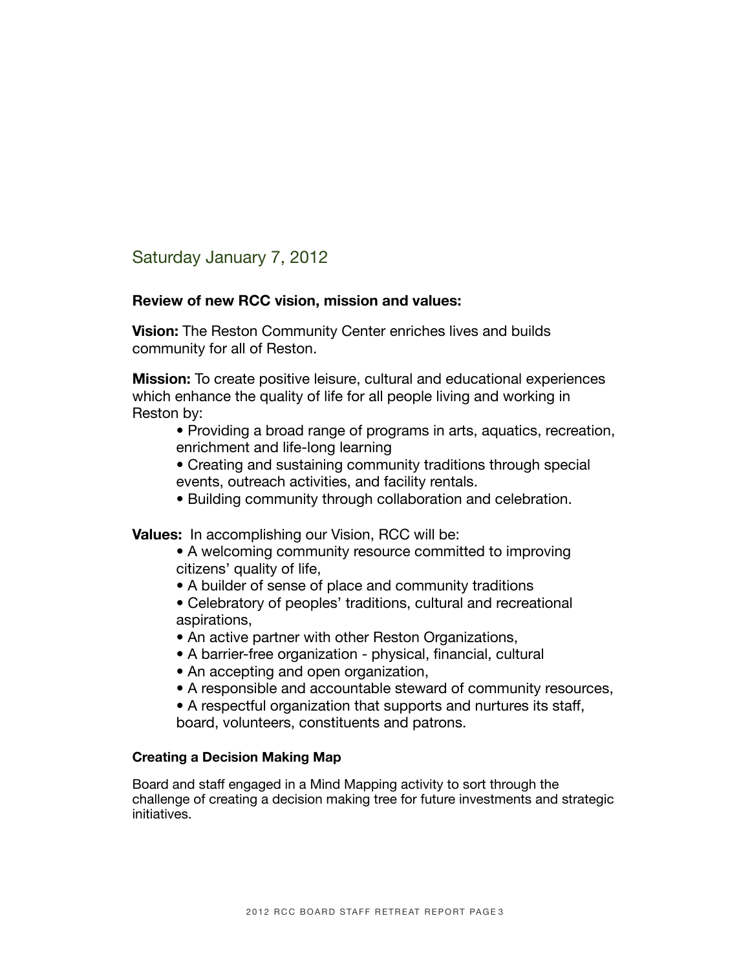Saturday January 7, 2012

## **Review of new RCC vision, mission and values:**

**Vision:** The Reston Community Center enriches lives and builds community for all of Reston.

**Mission:** To create positive leisure, cultural and educational experiences which enhance the quality of life for all people living and working in Reston by:

- Providing a broad range of programs in arts, aquatics, recreation, enrichment and life-long learning
- Creating and sustaining community traditions through special events, outreach activities, and facility rentals.
- Building community through collaboration and celebration.

**Values:** In accomplishing our Vision, RCC will be:

- A welcoming community resource committed to improving citizens' quality of life,
- A builder of sense of place and community traditions
- Celebratory of peoples' traditions, cultural and recreational aspirations,
- An active partner with other Reston Organizations,
- A barrier-free organization physical, financial, cultural
- An accepting and open organization,
- A responsible and accountable steward of community resources,
- A respectful organization that supports and nurtures its staff, board, volunteers, constituents and patrons.

## **Creating a Decision Making Map**

Board and staff engaged in a Mind Mapping activity to sort through the challenge of creating a decision making tree for future investments and strategic initiatives.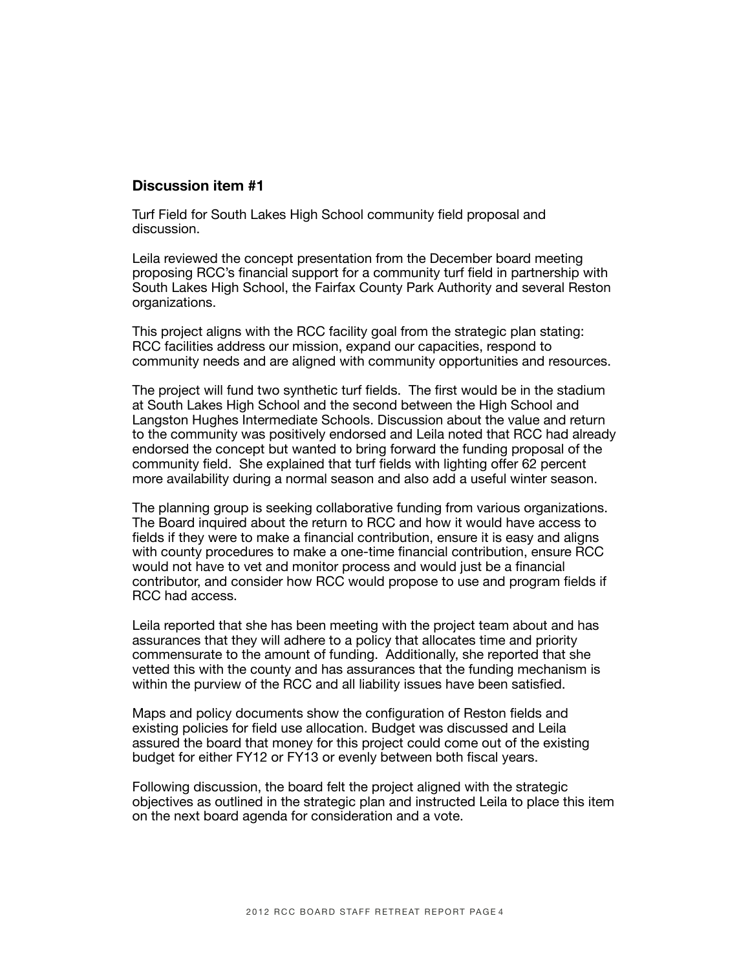## **Discussion item #1**

Turf Field for South Lakes High School community field proposal and discussion.

Leila reviewed the concept presentation from the December board meeting proposing RCC's financial support for a community turf field in partnership with South Lakes High School, the Fairfax County Park Authority and several Reston organizations.

This project aligns with the RCC facility goal from the strategic plan stating: RCC facilities address our mission, expand our capacities, respond to community needs and are aligned with community opportunities and resources.

The project will fund two synthetic turf fields. The first would be in the stadium at South Lakes High School and the second between the High School and Langston Hughes Intermediate Schools. Discussion about the value and return to the community was positively endorsed and Leila noted that RCC had already endorsed the concept but wanted to bring forward the funding proposal of the community field. She explained that turf fields with lighting offer 62 percent more availability during a normal season and also add a useful winter season.

The planning group is seeking collaborative funding from various organizations. The Board inquired about the return to RCC and how it would have access to fields if they were to make a financial contribution, ensure it is easy and aligns with county procedures to make a one-time financial contribution, ensure RCC would not have to vet and monitor process and would just be a financial contributor, and consider how RCC would propose to use and program fields if RCC had access.

Leila reported that she has been meeting with the project team about and has assurances that they will adhere to a policy that allocates time and priority commensurate to the amount of funding. Additionally, she reported that she vetted this with the county and has assurances that the funding mechanism is within the purview of the RCC and all liability issues have been satisfied.

Maps and policy documents show the configuration of Reston fields and existing policies for field use allocation. Budget was discussed and Leila assured the board that money for this project could come out of the existing budget for either FY12 or FY13 or evenly between both fiscal years.

Following discussion, the board felt the project aligned with the strategic objectives as outlined in the strategic plan and instructed Leila to place this item on the next board agenda for consideration and a vote.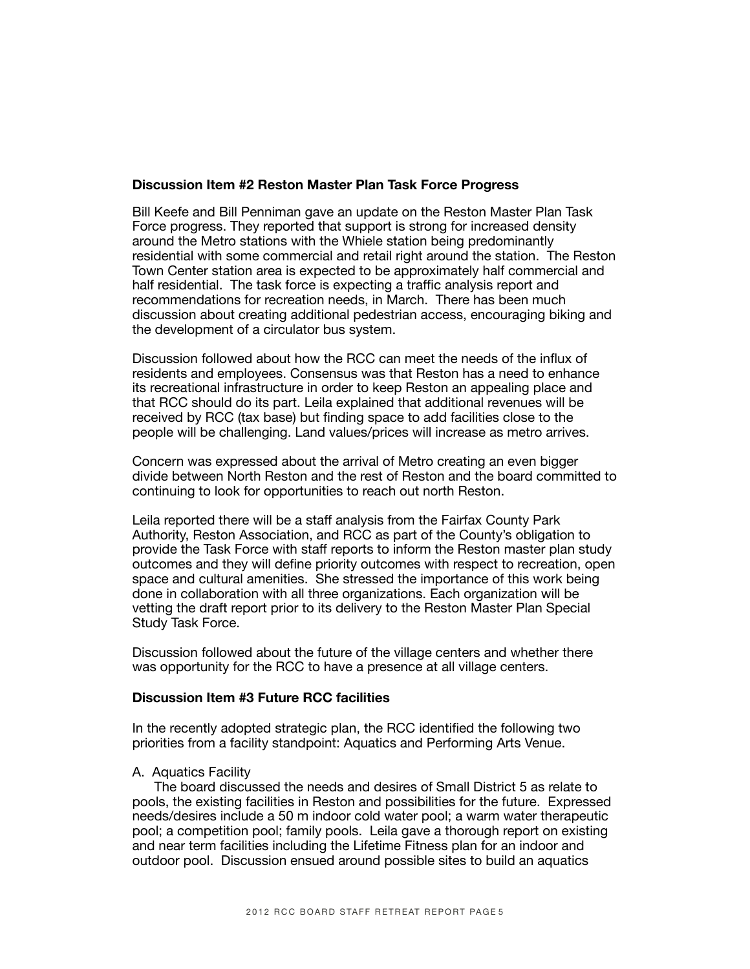## **Discussion Item #2 Reston Master Plan Task Force Progress**

Bill Keefe and Bill Penniman gave an update on the Reston Master Plan Task Force progress. They reported that support is strong for increased density around the Metro stations with the Whiele station being predominantly residential with some commercial and retail right around the station. The Reston Town Center station area is expected to be approximately half commercial and half residential. The task force is expecting a traffic analysis report and recommendations for recreation needs, in March. There has been much discussion about creating additional pedestrian access, encouraging biking and the development of a circulator bus system.

Discussion followed about how the RCC can meet the needs of the influx of residents and employees. Consensus was that Reston has a need to enhance its recreational infrastructure in order to keep Reston an appealing place and that RCC should do its part. Leila explained that additional revenues will be received by RCC (tax base) but finding space to add facilities close to the people will be challenging. Land values/prices will increase as metro arrives.

Concern was expressed about the arrival of Metro creating an even bigger divide between North Reston and the rest of Reston and the board committed to continuing to look for opportunities to reach out north Reston.

Leila reported there will be a staff analysis from the Fairfax County Park Authority, Reston Association, and RCC as part of the County's obligation to provide the Task Force with staff reports to inform the Reston master plan study outcomes and they will define priority outcomes with respect to recreation, open space and cultural amenities. She stressed the importance of this work being done in collaboration with all three organizations. Each organization will be vetting the draft report prior to its delivery to the Reston Master Plan Special Study Task Force.

Discussion followed about the future of the village centers and whether there was opportunity for the RCC to have a presence at all village centers.

## **Discussion Item #3 Future RCC facilities**

In the recently adopted strategic plan, the RCC identified the following two priorities from a facility standpoint: Aquatics and Performing Arts Venue.

#### A. Aquatics Facility

The board discussed the needs and desires of Small District 5 as relate to pools, the existing facilities in Reston and possibilities for the future. Expressed needs/desires include a 50 m indoor cold water pool; a warm water therapeutic pool; a competition pool; family pools. Leila gave a thorough report on existing and near term facilities including the Lifetime Fitness plan for an indoor and outdoor pool. Discussion ensued around possible sites to build an aquatics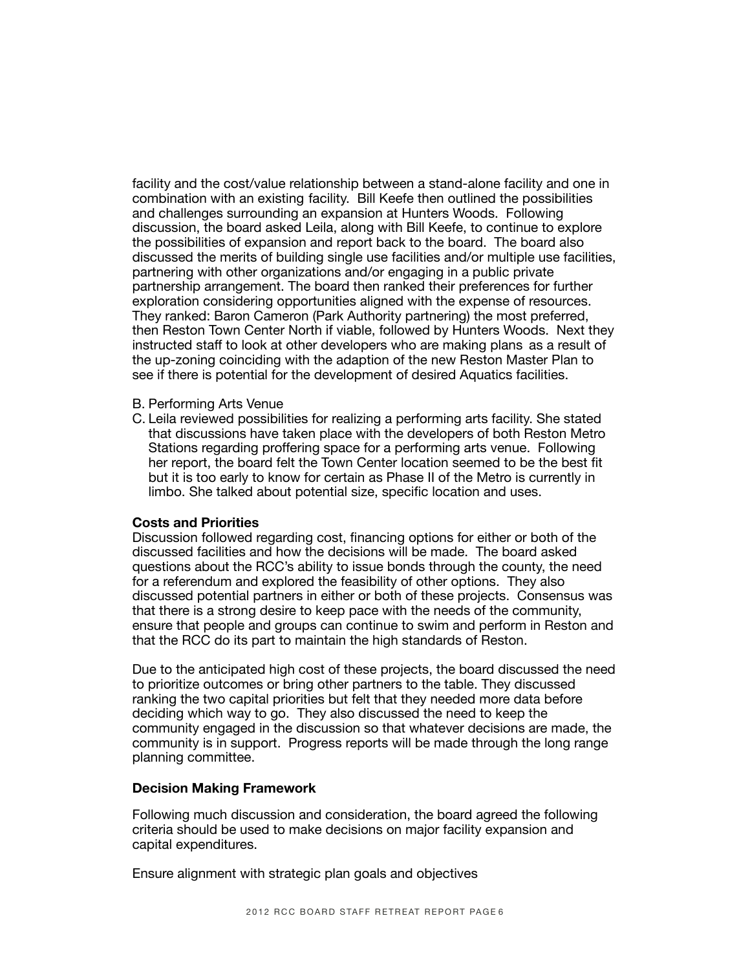facility and the cost/value relationship between a stand-alone facility and one in combination with an existing facility. Bill Keefe then outlined the possibilities and challenges surrounding an expansion at Hunters Woods. Following discussion, the board asked Leila, along with Bill Keefe, to continue to explore the possibilities of expansion and report back to the board. The board also discussed the merits of building single use facilities and/or multiple use facilities, partnering with other organizations and/or engaging in a public private partnership arrangement. The board then ranked their preferences for further exploration considering opportunities aligned with the expense of resources. They ranked: Baron Cameron (Park Authority partnering) the most preferred, then Reston Town Center North if viable, followed by Hunters Woods. Next they instructed staff to look at other developers who are making plans as a result of the up-zoning coinciding with the adaption of the new Reston Master Plan to see if there is potential for the development of desired Aquatics facilities.

#### B. Performing Arts Venue

C. Leila reviewed possibilities for realizing a performing arts facility. She stated that discussions have taken place with the developers of both Reston Metro Stations regarding proffering space for a performing arts venue. Following her report, the board felt the Town Center location seemed to be the best fit but it is too early to know for certain as Phase II of the Metro is currently in limbo. She talked about potential size, specific location and uses.

#### **Costs and Priorities**

Discussion followed regarding cost, financing options for either or both of the discussed facilities and how the decisions will be made. The board asked questions about the RCC's ability to issue bonds through the county, the need for a referendum and explored the feasibility of other options. They also discussed potential partners in either or both of these projects. Consensus was that there is a strong desire to keep pace with the needs of the community, ensure that people and groups can continue to swim and perform in Reston and that the RCC do its part to maintain the high standards of Reston.

Due to the anticipated high cost of these projects, the board discussed the need to prioritize outcomes or bring other partners to the table. They discussed ranking the two capital priorities but felt that they needed more data before deciding which way to go. They also discussed the need to keep the community engaged in the discussion so that whatever decisions are made, the community is in support. Progress reports will be made through the long range planning committee.

#### **Decision Making Framework**

Following much discussion and consideration, the board agreed the following criteria should be used to make decisions on major facility expansion and capital expenditures.

Ensure alignment with strategic plan goals and objectives